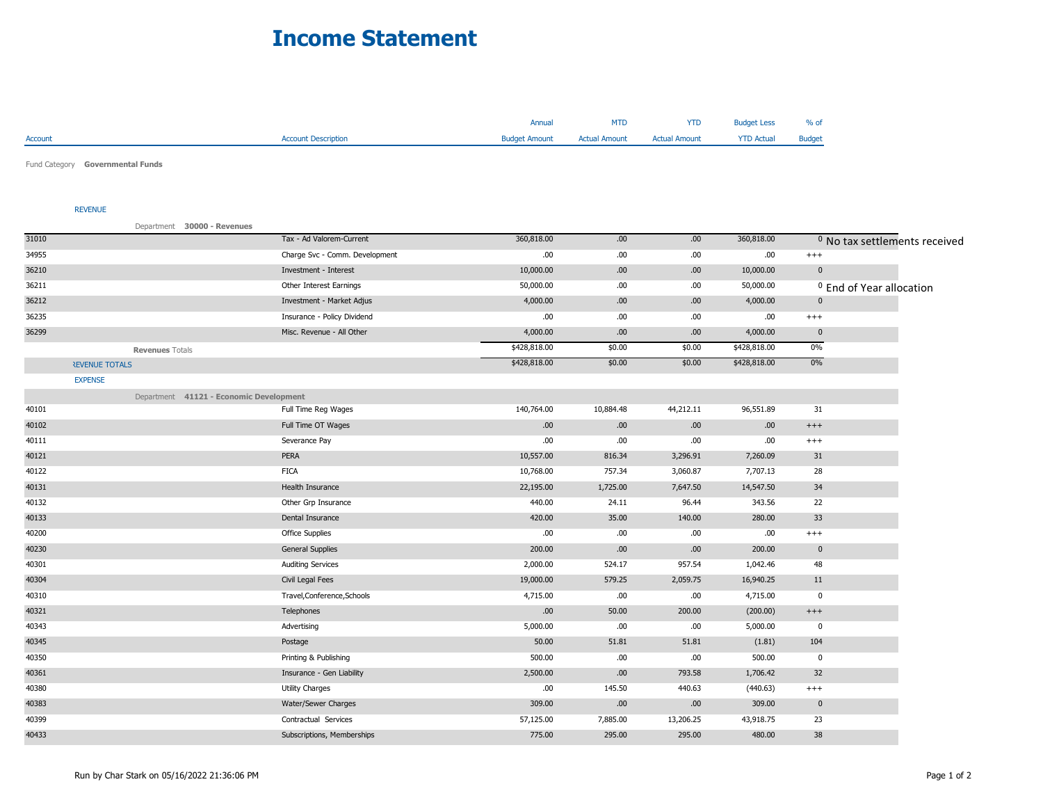## **Income Statement**

|                |                            | Annual               | <b>MTD</b>           | <b>YTD</b>           | <b>Budget Less</b> | % of          |
|----------------|----------------------------|----------------------|----------------------|----------------------|--------------------|---------------|
| <b>Account</b> | <b>Account Description</b> | <b>Budget Amount</b> | <b>Actual Amount</b> | <b>Actual Amount</b> | <b>YTD Actual</b>  | <b>Budget</b> |
|                |                            |                      |                      |                      |                    |               |

Fund Category **Governmental Funds**

## REVENUE

|                       | Department 30000 - Revenues             |                                |              |           |           |              |              |                                          |
|-----------------------|-----------------------------------------|--------------------------------|--------------|-----------|-----------|--------------|--------------|------------------------------------------|
| 31010                 |                                         | Tax - Ad Valorem-Current       | 360,818.00   | .00       | .00.      | 360,818.00   |              | <sup>0</sup> No tax settlements received |
| 34955                 |                                         | Charge Svc - Comm. Development | .00.         | .00.      | .00       | .00          | $^{+++}$     |                                          |
| 36210                 |                                         | Investment - Interest          | 10,000.00    | .00       | .00       | 10,000.00    | $\pmb{0}$    |                                          |
| 36211                 |                                         | Other Interest Earnings        | 50,000.00    | .00.      | .00       | 50,000.00    |              | <sup>0</sup> End of Year allocation      |
| 36212                 |                                         | Investment - Market Adjus      | 4,000.00     | .00       | .00       | 4,000.00     | $\mathbf{0}$ |                                          |
| 36235                 |                                         | Insurance - Policy Dividend    | .00.         | .00.      | .00.      | .00          | $^{+++}$     |                                          |
| 36299                 |                                         | Misc. Revenue - All Other      | 4,000.00     | .00       | .00       | 4,000.00     | $\mathbf{0}$ |                                          |
|                       | <b>Revenues Totals</b>                  |                                | \$428,818.00 | \$0.00    | \$0.00    | \$428,818.00 | 0%           |                                          |
| <b>REVENUE TOTALS</b> |                                         |                                | \$428,818.00 | \$0.00    | \$0.00    | \$428,818.00 | 0%           |                                          |
| <b>EXPENSE</b>        |                                         |                                |              |           |           |              |              |                                          |
|                       | Department 41121 - Economic Development |                                |              |           |           |              |              |                                          |
| 40101                 |                                         | Full Time Reg Wages            | 140,764.00   | 10,884.48 | 44,212.11 | 96,551.89    | 31           |                                          |
| 40102                 |                                         | Full Time OT Wages             | .00.         | .00       | .00.      | .00.         | $^{+++}$     |                                          |
| 40111                 |                                         | Severance Pay                  | .00.         | .00       | .00.      | .00          | $^{+++}$     |                                          |
| 40121                 |                                         | PERA                           | 10,557.00    | 816.34    | 3,296.91  | 7,260.09     | 31           |                                          |
| 40122                 |                                         | <b>FICA</b>                    | 10,768.00    | 757.34    | 3,060.87  | 7,707.13     | 28           |                                          |
| 40131                 |                                         | Health Insurance               | 22,195.00    | 1,725.00  | 7,647.50  | 14,547.50    | 34           |                                          |
| 40132                 |                                         | Other Grp Insurance            | 440.00       | 24.11     | 96.44     | 343.56       | 22           |                                          |
| 40133                 |                                         | Dental Insurance               | 420.00       | 35.00     | 140.00    | 280.00       | 33           |                                          |
| 40200                 |                                         | Office Supplies                | .00          | .00.      | .00.      | .00          | $^{+++}$     |                                          |
| 40230                 |                                         | <b>General Supplies</b>        | 200.00       | .00       | .00       | 200.00       | $\mathbf 0$  |                                          |
| 40301                 |                                         | <b>Auditing Services</b>       | 2,000.00     | 524.17    | 957.54    | 1,042.46     | 48           |                                          |
| 40304                 |                                         | Civil Legal Fees               | 19,000.00    | 579.25    | 2,059.75  | 16,940.25    | 11           |                                          |
| 40310                 |                                         | Travel, Conference, Schools    | 4,715.00     | .00       | .00.      | 4,715.00     | $\mathbf 0$  |                                          |
| 40321                 |                                         | Telephones                     | .00.         | 50.00     | 200.00    | (200.00)     | $^{+++}$     |                                          |
| 40343                 |                                         | Advertising                    | 5,000.00     | .00       | .00       | 5,000.00     | $\mathbf 0$  |                                          |
| 40345                 |                                         | Postage                        | 50.00        | 51.81     | 51.81     | (1.81)       | 104          |                                          |
| 40350                 |                                         | Printing & Publishing          | 500.00       | .00       | .00       | 500.00       | $\mathbf 0$  |                                          |
| 40361                 |                                         | Insurance - Gen Liability      | 2,500.00     | .00       | 793.58    | 1,706.42     | 32           |                                          |
| 40380                 |                                         | <b>Utility Charges</b>         | .00          | 145.50    | 440.63    | (440.63)     | $^{+++}$     |                                          |
| 40383                 |                                         | Water/Sewer Charges            | 309.00       | .00       | .00       | 309.00       | $\mathbf 0$  |                                          |
| 40399                 |                                         | Contractual Services           | 57,125.00    | 7,885.00  | 13,206.25 | 43,918.75    | 23           |                                          |
| 40433                 |                                         | Subscriptions, Memberships     | 775.00       | 295.00    | 295.00    | 480.00       | 38           |                                          |